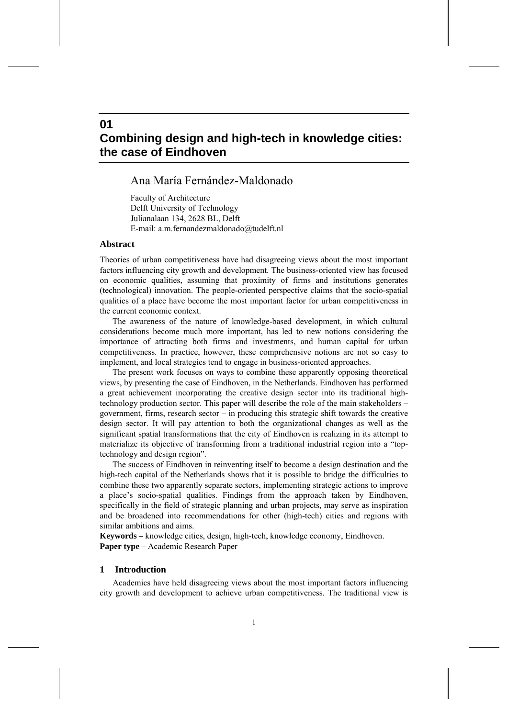# **Combining design and high-tech in knowledge cities: the case of Eindhoven**

## Ana María Fernández-Maldonado

Faculty of Architecture Delft University of Technology Julianalaan 134, 2628 BL, Delft E-mail: a.m.fernandezmaldonado@tudelft.nl

## **Abstract**

**01** 

Theories of urban competitiveness have had disagreeing views about the most important factors influencing city growth and development. The business-oriented view has focused on economic qualities, assuming that proximity of firms and institutions generates (technological) innovation. The people-oriented perspective claims that the socio-spatial qualities of a place have become the most important factor for urban competitiveness in the current economic context.

The awareness of the nature of knowledge-based development, in which cultural considerations become much more important, has led to new notions considering the importance of attracting both firms and investments, and human capital for urban competitiveness. In practice, however, these comprehensive notions are not so easy to implement, and local strategies tend to engage in business-oriented approaches.

The present work focuses on ways to combine these apparently opposing theoretical views, by presenting the case of Eindhoven, in the Netherlands. Eindhoven has performed a great achievement incorporating the creative design sector into its traditional hightechnology production sector. This paper will describe the role of the main stakeholders – government, firms, research sector – in producing this strategic shift towards the creative design sector. It will pay attention to both the organizational changes as well as the significant spatial transformations that the city of Eindhoven is realizing in its attempt to materialize its objective of transforming from a traditional industrial region into a "toptechnology and design region".

The success of Eindhoven in reinventing itself to become a design destination and the high-tech capital of the Netherlands shows that it is possible to bridge the difficulties to combine these two apparently separate sectors, implementing strategic actions to improve a place's socio-spatial qualities. Findings from the approach taken by Eindhoven, specifically in the field of strategic planning and urban projects, may serve as inspiration and be broadened into recommendations for other (high-tech) cities and regions with similar ambitions and aims.

**Keywords –** knowledge cities, design, high-tech, knowledge economy, Eindhoven. **Paper type** – Academic Research Paper

## **1 Introduction**

Academics have held disagreeing views about the most important factors influencing city growth and development to achieve urban competitiveness. The traditional view is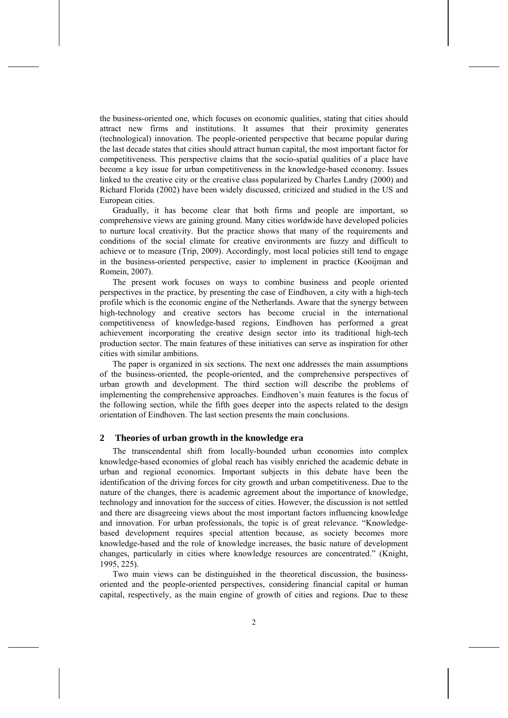the business-oriented one, which focuses on economic qualities, stating that cities should attract new firms and institutions. It assumes that their proximity generates (technological) innovation. The people-oriented perspective that became popular during the last decade states that cities should attract human capital, the most important factor for competitiveness. This perspective claims that the socio-spatial qualities of a place have become a key issue for urban competitiveness in the knowledge-based economy. Issues linked to the creative city or the creative class popularized by Charles Landry (2000) and Richard Florida (2002) have been widely discussed, criticized and studied in the US and European cities.

Gradually, it has become clear that both firms and people are important, so comprehensive views are gaining ground. Many cities worldwide have developed policies to nurture local creativity. But the practice shows that many of the requirements and conditions of the social climate for creative environments are fuzzy and difficult to achieve or to measure (Trip, 2009). Accordingly, most local policies still tend to engage in the business-oriented perspective, easier to implement in practice (Kooijman and Romein, 2007).

The present work focuses on ways to combine business and people oriented perspectives in the practice, by presenting the case of Eindhoven, a city with a high-tech profile which is the economic engine of the Netherlands. Aware that the synergy between high-technology and creative sectors has become crucial in the international competitiveness of knowledge-based regions, Eindhoven has performed a great achievement incorporating the creative design sector into its traditional high-tech production sector. The main features of these initiatives can serve as inspiration for other cities with similar ambitions.

The paper is organized in six sections. The next one addresses the main assumptions of the business-oriented, the people-oriented, and the comprehensive perspectives of urban growth and development. The third section will describe the problems of implementing the comprehensive approaches. Eindhoven's main features is the focus of the following section, while the fifth goes deeper into the aspects related to the design orientation of Eindhoven. The last section presents the main conclusions.

## **2 Theories of urban growth in the knowledge era**

The transcendental shift from locally-bounded urban economies into complex knowledge-based economies of global reach has visibly enriched the academic debate in urban and regional economics. Important subjects in this debate have been the identification of the driving forces for city growth and urban competitiveness. Due to the nature of the changes, there is academic agreement about the importance of knowledge, technology and innovation for the success of cities. However, the discussion is not settled and there are disagreeing views about the most important factors influencing knowledge and innovation. For urban professionals, the topic is of great relevance. "Knowledgebased development requires special attention because, as society becomes more knowledge-based and the role of knowledge increases, the basic nature of development changes, particularly in cities where knowledge resources are concentrated." (Knight, 1995, 225).

Two main views can be distinguished in the theoretical discussion, the businessoriented and the people-oriented perspectives, considering financial capital or human capital, respectively, as the main engine of growth of cities and regions. Due to these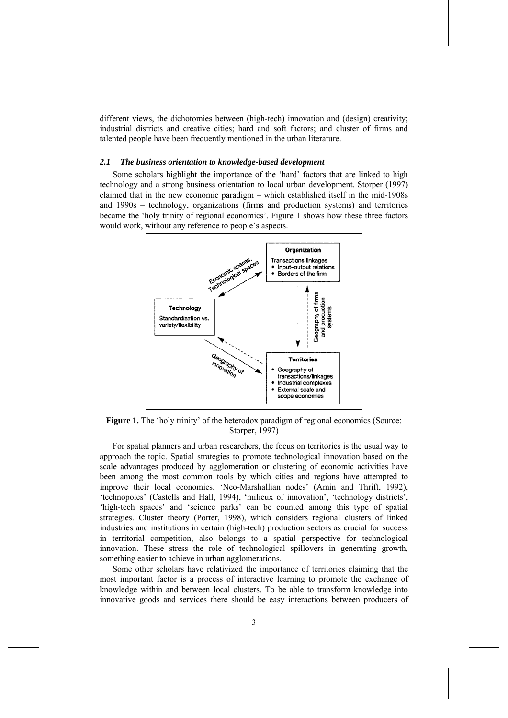different views, the dichotomies between (high-tech) innovation and (design) creativity; industrial districts and creative cities; hard and soft factors; and cluster of firms and talented people have been frequently mentioned in the urban literature.

#### *2.1 The business orientation to knowledge-based development*

Some scholars highlight the importance of the 'hard' factors that are linked to high technology and a strong business orientation to local urban development. Storper (1997) claimed that in the new economic paradigm – which established itself in the mid-1908s and 1990s – technology, organizations (firms and production systems) and territories became the 'holy trinity of regional economics'. Figure 1 shows how these three factors would work, without any reference to people's aspects.



**Figure 1.** The 'holy trinity' of the heterodox paradigm of regional economics (Source: Storper, 1997)

For spatial planners and urban researchers, the focus on territories is the usual way to approach the topic. Spatial strategies to promote technological innovation based on the scale advantages produced by agglomeration or clustering of economic activities have been among the most common tools by which cities and regions have attempted to improve their local economies. 'Neo-Marshallian nodes' (Amin and Thrift, 1992), 'technopoles' (Castells and Hall, 1994), 'milieux of innovation', 'technology districts', 'high-tech spaces' and 'science parks' can be counted among this type of spatial strategies. Cluster theory (Porter, 1998), which considers regional clusters of linked industries and institutions in certain (high-tech) production sectors as crucial for success in territorial competition, also belongs to a spatial perspective for technological innovation. These stress the role of technological spillovers in generating growth, something easier to achieve in urban agglomerations.

Some other scholars have relativized the importance of territories claiming that the most important factor is a process of interactive learning to promote the exchange of knowledge within and between local clusters. To be able to transform knowledge into innovative goods and services there should be easy interactions between producers of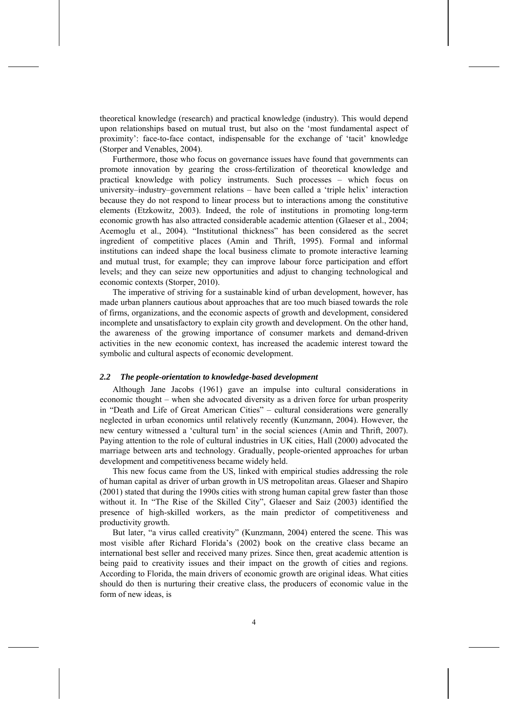theoretical knowledge (research) and practical knowledge (industry). This would depend upon relationships based on mutual trust, but also on the 'most fundamental aspect of proximity': face-to-face contact, indispensable for the exchange of 'tacit' knowledge (Storper and Venables, 2004).

Furthermore, those who focus on governance issues have found that governments can promote innovation by gearing the cross-fertilization of theoretical knowledge and practical knowledge with policy instruments. Such processes – which focus on university–industry–government relations – have been called a 'triple helix' interaction because they do not respond to linear process but to interactions among the constitutive elements (Etzkowitz, 2003). Indeed, the role of institutions in promoting long-term economic growth has also attracted considerable academic attention (Glaeser et al., 2004; Acemoglu et al., 2004). "Institutional thickness" has been considered as the secret ingredient of competitive places (Amin and Thrift, 1995). Formal and informal institutions can indeed shape the local business climate to promote interactive learning and mutual trust, for example; they can improve labour force participation and effort levels; and they can seize new opportunities and adjust to changing technological and economic contexts (Storper, 2010).

The imperative of striving for a sustainable kind of urban development, however, has made urban planners cautious about approaches that are too much biased towards the role of firms, organizations, and the economic aspects of growth and development, considered incomplete and unsatisfactory to explain city growth and development. On the other hand, the awareness of the growing importance of consumer markets and demand-driven activities in the new economic context, has increased the academic interest toward the symbolic and cultural aspects of economic development.

#### *2.2 The people-orientation to knowledge-based development*

Although Jane Jacobs (1961) gave an impulse into cultural considerations in economic thought – when she advocated diversity as a driven force for urban prosperity in "Death and Life of Great American Cities" – cultural considerations were generally neglected in urban economics until relatively recently (Kunzmann, 2004). However, the new century witnessed a 'cultural turn' in the social sciences (Amin and Thrift, 2007). Paying attention to the role of cultural industries in UK cities, Hall (2000) advocated the marriage between arts and technology. Gradually, people-oriented approaches for urban development and competitiveness became widely held.

This new focus came from the US, linked with empirical studies addressing the role of human capital as driver of urban growth in US metropolitan areas. Glaeser and Shapiro (2001) stated that during the 1990s cities with strong human capital grew faster than those without it. In "The Rise of the Skilled City", Glaeser and Saiz (2003) identified the presence of high-skilled workers, as the main predictor of competitiveness and productivity growth.

But later, "a virus called creativity" (Kunzmann, 2004) entered the scene. This was most visible after Richard Florida's (2002) book on the creative class became an international best seller and received many prizes. Since then, great academic attention is being paid to creativity issues and their impact on the growth of cities and regions. According to Florida, the main drivers of economic growth are original ideas. What cities should do then is nurturing their creative class, the producers of economic value in the form of new ideas, is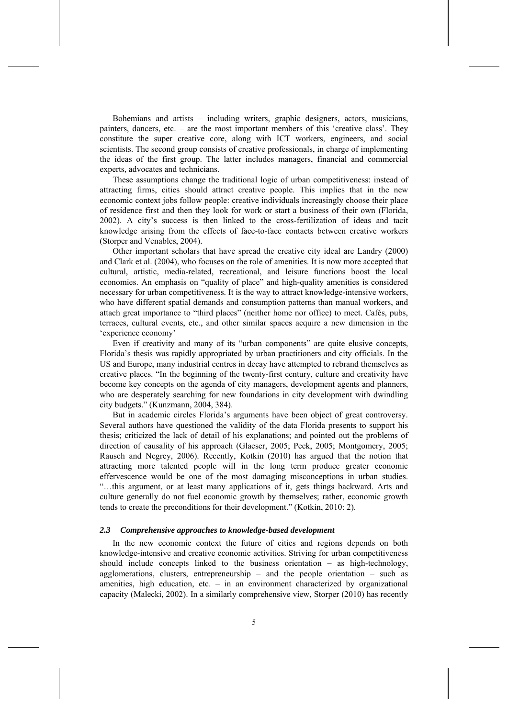Bohemians and artists – including writers, graphic designers, actors, musicians, painters, dancers, etc. – are the most important members of this 'creative class'. They constitute the super creative core, along with ICT workers, engineers, and social scientists. The second group consists of creative professionals, in charge of implementing the ideas of the first group. The latter includes managers, financial and commercial experts, advocates and technicians.

These assumptions change the traditional logic of urban competitiveness: instead of attracting firms, cities should attract creative people. This implies that in the new economic context jobs follow people: creative individuals increasingly choose their place of residence first and then they look for work or start a business of their own (Florida, 2002). A city's success is then linked to the cross-fertilization of ideas and tacit knowledge arising from the effects of face-to-face contacts between creative workers (Storper and Venables, 2004).

Other important scholars that have spread the creative city ideal are Landry (2000) and Clark et al. (2004), who focuses on the role of amenities. It is now more accepted that cultural, artistic, media-related, recreational, and leisure functions boost the local economies. An emphasis on "quality of place" and high-quality amenities is considered necessary for urban competitiveness. It is the way to attract knowledge-intensive workers, who have different spatial demands and consumption patterns than manual workers, and attach great importance to "third places" (neither home nor office) to meet. Cafés, pubs, terraces, cultural events, etc., and other similar spaces acquire a new dimension in the 'experience economy'

Even if creativity and many of its "urban components" are quite elusive concepts, Florida's thesis was rapidly appropriated by urban practitioners and city officials. In the US and Europe, many industrial centres in decay have attempted to rebrand themselves as creative places. "In the beginning of the twenty-first century, culture and creativity have become key concepts on the agenda of city managers, development agents and planners, who are desperately searching for new foundations in city development with dwindling city budgets." (Kunzmann, 2004, 384).

But in academic circles Florida's arguments have been object of great controversy. Several authors have questioned the validity of the data Florida presents to support his thesis; criticized the lack of detail of his explanations; and pointed out the problems of direction of causality of his approach (Glaeser, 2005; Peck, 2005; Montgomery, 2005; Rausch and Negrey, 2006). Recently, Kotkin (2010) has argued that the notion that attracting more talented people will in the long term produce greater economic effervescence would be one of the most damaging misconceptions in urban studies. "…this argument, or at least many applications of it, gets things backward. Arts and culture generally do not fuel economic growth by themselves; rather, economic growth tends to create the preconditions for their development." (Kotkin, 2010: 2).

#### *2.3 Comprehensive approaches to knowledge-based development*

In the new economic context the future of cities and regions depends on both knowledge-intensive and creative economic activities. Striving for urban competitiveness should include concepts linked to the business orientation – as high-technology, agglomerations, clusters, entrepreneurship – and the people orientation – such as amenities, high education, etc. – in an environment characterized by organizational capacity (Malecki, 2002). In a similarly comprehensive view, Storper (2010) has recently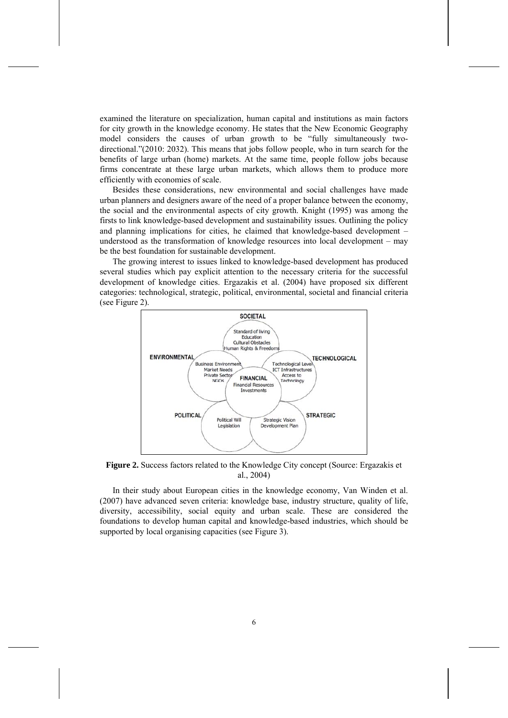examined the literature on specialization, human capital and institutions as main factors for city growth in the knowledge economy. He states that the New Economic Geography model considers the causes of urban growth to be "fully simultaneously twodirectional."(2010: 2032). This means that jobs follow people, who in turn search for the benefits of large urban (home) markets. At the same time, people follow jobs because firms concentrate at these large urban markets, which allows them to produce more efficiently with economies of scale.

Besides these considerations, new environmental and social challenges have made urban planners and designers aware of the need of a proper balance between the economy, the social and the environmental aspects of city growth. Knight (1995) was among the firsts to link knowledge-based development and sustainability issues. Outlining the policy and planning implications for cities, he claimed that knowledge-based development – understood as the transformation of knowledge resources into local development – may be the best foundation for sustainable development.

The growing interest to issues linked to knowledge-based development has produced several studies which pay explicit attention to the necessary criteria for the successful development of knowledge cities. Ergazakis et al. (2004) have proposed six different categories: technological, strategic, political, environmental, societal and financial criteria (see Figure 2).



**Figure 2.** Success factors related to the Knowledge City concept (Source: Ergazakis et al., 2004)

In their study about European cities in the knowledge economy, Van Winden et al. (2007) have advanced seven criteria: knowledge base, industry structure, quality of life, diversity, accessibility, social equity and urban scale. These are considered the foundations to develop human capital and knowledge-based industries, which should be supported by local organising capacities (see Figure 3).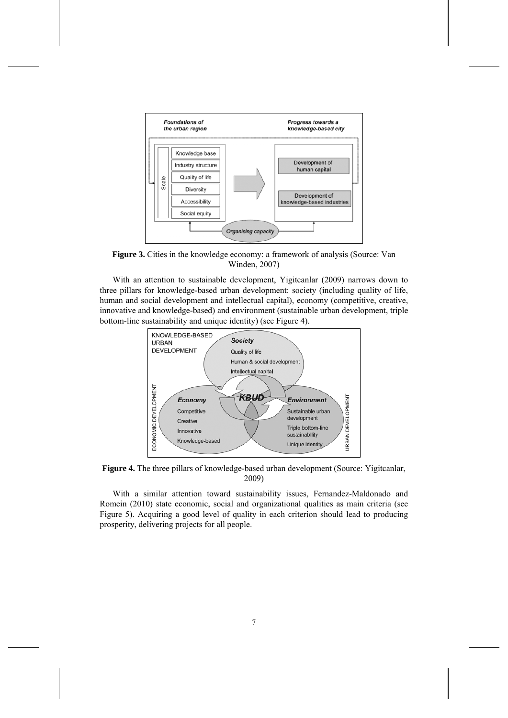

**Figure 3.** Cities in the knowledge economy: a framework of analysis (Source: Van Winden, 2007)

With an attention to sustainable development, Yigitcanlar (2009) narrows down to three pillars for knowledge-based urban development: society (including quality of life, human and social development and intellectual capital), economy (competitive, creative, innovative and knowledge-based) and environment (sustainable urban development, triple bottom-line sustainability and unique identity) (see Figure 4).



**Figure 4.** The three pillars of knowledge-based urban development (Source: Yigitcanlar, 2009)

With a similar attention toward sustainability issues, Fernandez-Maldonado and Romein (2010) state economic, social and organizational qualities as main criteria (see Figure 5). Acquiring a good level of quality in each criterion should lead to producing prosperity, delivering projects for all people.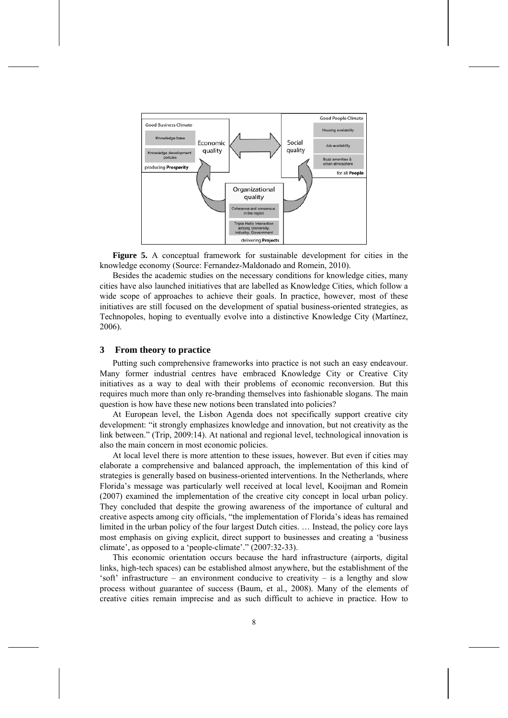

**Figure 5.** A conceptual framework for sustainable development for cities in the knowledge economy (Source: Fernandez-Maldonado and Romein, 2010).

Besides the academic studies on the necessary conditions for knowledge cities, many cities have also launched initiatives that are labelled as Knowledge Cities, which follow a wide scope of approaches to achieve their goals. In practice, however, most of these initiatives are still focused on the development of spatial business-oriented strategies, as Technopoles, hoping to eventually evolve into a distinctive Knowledge City (Martínez, 2006).

## **3 From theory to practice**

Putting such comprehensive frameworks into practice is not such an easy endeavour. Many former industrial centres have embraced Knowledge City or Creative City initiatives as a way to deal with their problems of economic reconversion. But this requires much more than only re-branding themselves into fashionable slogans. The main question is how have these new notions been translated into policies?

At European level, the Lisbon Agenda does not specifically support creative city development: "it strongly emphasizes knowledge and innovation, but not creativity as the link between." (Trip, 2009:14). At national and regional level, technological innovation is also the main concern in most economic policies.

At local level there is more attention to these issues, however. But even if cities may elaborate a comprehensive and balanced approach, the implementation of this kind of strategies is generally based on business-oriented interventions. In the Netherlands, where Florida's message was particularly well received at local level, Kooijman and Romein (2007) examined the implementation of the creative city concept in local urban policy. They concluded that despite the growing awareness of the importance of cultural and creative aspects among city officials, "the implementation of Florida's ideas has remained limited in the urban policy of the four largest Dutch cities. … Instead, the policy core lays most emphasis on giving explicit, direct support to businesses and creating a 'business climate', as opposed to a 'people-climate'." (2007:32-33).

This economic orientation occurs because the hard infrastructure (airports, digital links, high-tech spaces) can be established almost anywhere, but the establishment of the 'soft' infrastructure – an environment conducive to creativity – is a lengthy and slow process without guarantee of success (Baum, et al., 2008). Many of the elements of creative cities remain imprecise and as such difficult to achieve in practice. How to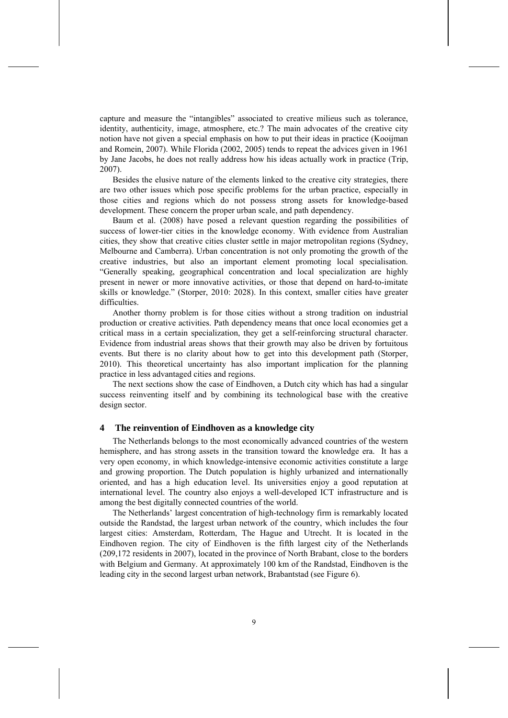capture and measure the "intangibles" associated to creative milieus such as tolerance, identity, authenticity, image, atmosphere, etc.? The main advocates of the creative city notion have not given a special emphasis on how to put their ideas in practice (Kooijman and Romein, 2007). While Florida (2002, 2005) tends to repeat the advices given in 1961 by Jane Jacobs, he does not really address how his ideas actually work in practice (Trip, 2007).

Besides the elusive nature of the elements linked to the creative city strategies, there are two other issues which pose specific problems for the urban practice, especially in those cities and regions which do not possess strong assets for knowledge-based development. These concern the proper urban scale, and path dependency.

Baum et al. (2008) have posed a relevant question regarding the possibilities of success of lower-tier cities in the knowledge economy. With evidence from Australian cities, they show that creative cities cluster settle in major metropolitan regions (Sydney, Melbourne and Camberra). Urban concentration is not only promoting the growth of the creative industries, but also an important element promoting local specialisation. "Generally speaking, geographical concentration and local specialization are highly present in newer or more innovative activities, or those that depend on hard-to-imitate skills or knowledge." (Storper, 2010: 2028). In this context, smaller cities have greater difficulties.

Another thorny problem is for those cities without a strong tradition on industrial production or creative activities. Path dependency means that once local economies get a critical mass in a certain specialization, they get a self-reinforcing structural character. Evidence from industrial areas shows that their growth may also be driven by fortuitous events. But there is no clarity about how to get into this development path (Storper, 2010). This theoretical uncertainty has also important implication for the planning practice in less advantaged cities and regions.

The next sections show the case of Eindhoven, a Dutch city which has had a singular success reinventing itself and by combining its technological base with the creative design sector.

#### **4 The reinvention of Eindhoven as a knowledge city**

The Netherlands belongs to the most economically advanced countries of the western hemisphere, and has strong assets in the transition toward the knowledge era. It has a very open economy, in which knowledge-intensive economic activities constitute a large and growing proportion. The Dutch population is highly urbanized and internationally oriented, and has a high education level. Its universities enjoy a good reputation at international level. The country also enjoys a well-developed ICT infrastructure and is among the best digitally connected countries of the world.

The Netherlands' largest concentration of high-technology firm is remarkably located outside the Randstad, the largest urban network of the country, which includes the four largest cities: Amsterdam, Rotterdam, The Hague and Utrecht. It is located in the Eindhoven region. The city of Eindhoven is the fifth largest city of the Netherlands (209,172 residents in 2007), located in the province of North Brabant, close to the borders with Belgium and Germany. At approximately 100 km of the Randstad, Eindhoven is the leading city in the second largest urban network, Brabantstad (see Figure 6).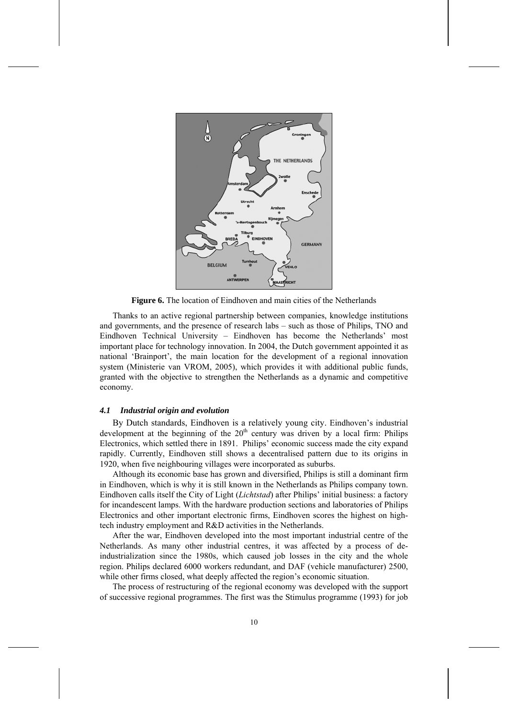

**Figure 6.** The location of Eindhoven and main cities of the Netherlands

Thanks to an active regional partnership between companies, knowledge institutions and governments, and the presence of research labs – such as those of Philips, TNO and Eindhoven Technical University – Eindhoven has become the Netherlands' most important place for technology innovation. In 2004, the Dutch government appointed it as national 'Brainport', the main location for the development of a regional innovation system (Ministerie van VROM, 2005), which provides it with additional public funds, granted with the objective to strengthen the Netherlands as a dynamic and competitive economy.

## *4.1 Industrial origin and evolution*

By Dutch standards, Eindhoven is a relatively young city. Eindhoven's industrial development at the beginning of the  $20<sup>th</sup>$  century was driven by a local firm: Philips Electronics, which settled there in 1891. Philips' economic success made the city expand rapidly. Currently, Eindhoven still shows a decentralised pattern due to its origins in 1920, when five neighbouring villages were incorporated as suburbs.

Although its economic base has grown and diversified, Philips is still a dominant firm in Eindhoven, which is why it is still known in the Netherlands as Philips company town. Eindhoven calls itself the City of Light (*Lichtstad*) after Philips' initial business: a factory for incandescent lamps. With the hardware production sections and laboratories of Philips Electronics and other important electronic firms, Eindhoven scores the highest on hightech industry employment and R&D activities in the Netherlands.

After the war, Eindhoven developed into the most important industrial centre of the Netherlands. As many other industrial centres, it was affected by a process of deindustrialization since the 1980s, which caused job losses in the city and the whole region. Philips declared 6000 workers redundant, and DAF (vehicle manufacturer) 2500, while other firms closed, what deeply affected the region's economic situation.

The process of restructuring of the regional economy was developed with the support of successive regional programmes. The first was the Stimulus programme (1993) for job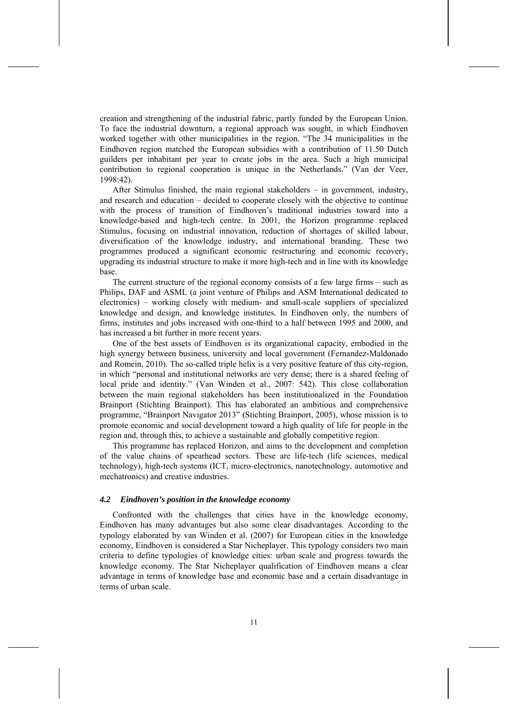creation and strengthening of the industrial fabric, partly funded by the European Union. To face the industrial downturn, a regional approach was sought, in which Eindhoven worked together with other municipalities in the region. "The 34 municipalities in the Eindhoven region matched the European subsidies with a contribution of 11.50 Dutch guilders per inhabitant per year to create jobs in the area. Such a high municipal contribution to regional cooperation is unique in the Netherlands." (Van der Veer, 1998:42).

After Stimulus finished, the main regional stakeholders – in government, industry, and research and education – decided to cooperate closely with the objective to continue with the process of transition of Eindhoven's traditional industries toward into a knowledge-based and high-tech centre. In 2001, the Horizon programme replaced Stimulus, focusing on industrial innovation, reduction of shortages of skilled labour, diversification of the knowledge industry, and international branding. These two programmes produced a significant economic restructuring and economic recovery, upgrading its industrial structure to make it more high-tech and in line with its knowledge base.

The current structure of the regional economy consists of a few large firms – such as Philips, DAF and ASML (a joint venture of Philips and ASM International dedicated to electronics) – working closely with medium- and small-scale suppliers of specialized knowledge and design, and knowledge institutes. In Eindhoven only, the numbers of firms, institutes and jobs increased with one-third to a half between 1995 and 2000, and has increased a bit further in more recent years.

One of the best assets of Eindhoven is its organizational capacity, embodied in the high synergy between business, university and local government (Fernandez-Maldonado and Romein, 2010). The so-called triple helix is a very positive feature of this city-region, in which "personal and institutional networks are very dense; there is a shared feeling of local pride and identity." (Van Winden et al., 2007: 542). This close collaboration between the main regional stakeholders has been institutionalized in the Foundation Brainport (Stichting Brainport). This has elaborated an ambitious and comprehensive programme, "Brainport Navigator 2013" (Stichting Brainport, 2005), whose mission is to promote economic and social development toward a high quality of life for people in the region and, through this, to achieve a sustainable and globally competitive region.

This programme has replaced Horizon, and aims to the development and completion of the value chains of spearhead sectors. These are life-tech (life sciences, medical technology), high-tech systems (ICT, micro-electronics, nanotechnology, automotive and mechatronics) and creative industries.

## *4.2 Eindhoven's position in the knowledge economy*

Confronted with the challenges that cities have in the knowledge economy, Eindhoven has many advantages but also some clear disadvantages. According to the typology elaborated by van Winden et al. (2007) for European cities in the knowledge economy, Eindhoven is considered a Star Nicheplayer. This typology considers two main criteria to define typologies of knowledge cities: urban scale and progress towards the knowledge economy. The Star Nicheplayer qualification of Eindhoven means a clear advantage in terms of knowledge base and economic base and a certain disadvantage in terms of urban scale.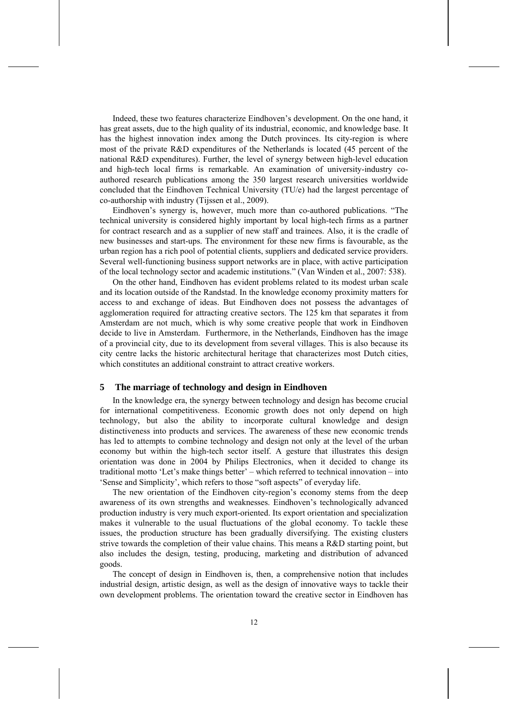Indeed, these two features characterize Eindhoven's development. On the one hand, it has great assets, due to the high quality of its industrial, economic, and knowledge base. It has the highest innovation index among the Dutch provinces. Its city-region is where most of the private R&D expenditures of the Netherlands is located (45 percent of the national R&D expenditures). Further, the level of synergy between high-level education and high-tech local firms is remarkable. An examination of university-industry coauthored research publications among the 350 largest research universities worldwide concluded that the Eindhoven Technical University (TU/e) had the largest percentage of co-authorship with industry (Tijssen et al., 2009).

Eindhoven's synergy is, however, much more than co-authored publications. "The technical university is considered highly important by local high-tech firms as a partner for contract research and as a supplier of new staff and trainees. Also, it is the cradle of new businesses and start-ups. The environment for these new firms is favourable, as the urban region has a rich pool of potential clients, suppliers and dedicated service providers. Several well-functioning business support networks are in place, with active participation of the local technology sector and academic institutions." (Van Winden et al., 2007: 538).

On the other hand, Eindhoven has evident problems related to its modest urban scale and its location outside of the Randstad. In the knowledge economy proximity matters for access to and exchange of ideas. But Eindhoven does not possess the advantages of agglomeration required for attracting creative sectors. The 125 km that separates it from Amsterdam are not much, which is why some creative people that work in Eindhoven decide to live in Amsterdam. Furthermore, in the Netherlands, Eindhoven has the image of a provincial city, due to its development from several villages. This is also because its city centre lacks the historic architectural heritage that characterizes most Dutch cities, which constitutes an additional constraint to attract creative workers.

#### **5 The marriage of technology and design in Eindhoven**

In the knowledge era, the synergy between technology and design has become crucial for international competitiveness. Economic growth does not only depend on high technology, but also the ability to incorporate cultural knowledge and design distinctiveness into products and services. The awareness of these new economic trends has led to attempts to combine technology and design not only at the level of the urban economy but within the high-tech sector itself. A gesture that illustrates this design orientation was done in 2004 by Philips Electronics, when it decided to change its traditional motto 'Let's make things better' – which referred to technical innovation – into 'Sense and Simplicity', which refers to those "soft aspects" of everyday life.

The new orientation of the Eindhoven city-region's economy stems from the deep awareness of its own strengths and weaknesses. Eindhoven's technologically advanced production industry is very much export-oriented. Its export orientation and specialization makes it vulnerable to the usual fluctuations of the global economy. To tackle these issues, the production structure has been gradually diversifying. The existing clusters strive towards the completion of their value chains. This means a R&D starting point, but also includes the design, testing, producing, marketing and distribution of advanced goods.

The concept of design in Eindhoven is, then, a comprehensive notion that includes industrial design, artistic design, as well as the design of innovative ways to tackle their own development problems. The orientation toward the creative sector in Eindhoven has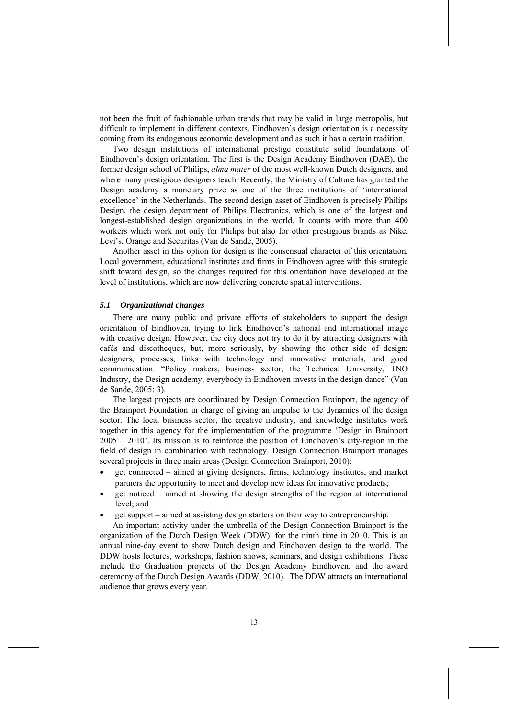not been the fruit of fashionable urban trends that may be valid in large metropolis, but difficult to implement in different contexts. Eindhoven's design orientation is a necessity coming from its endogenous economic development and as such it has a certain tradition.

Two design institutions of international prestige constitute solid foundations of Eindhoven's design orientation. The first is the Design Academy Eindhoven (DAE), the former design school of Philips, *alma mater* of the most well-known Dutch designers, and where many prestigious designers teach. Recently, the Ministry of Culture has granted the Design academy a monetary prize as one of the three institutions of 'international excellence' in the Netherlands. The second design asset of Eindhoven is precisely Philips Design, the design department of Philips Electronics, which is one of the largest and longest-established design organizations in the world. It counts with more than 400 workers which work not only for Philips but also for other prestigious brands as Nike, Levi's, Orange and Securitas (Van de Sande, 2005).

Another asset in this option for design is the consensual character of this orientation. Local government, educational institutes and firms in Eindhoven agree with this strategic shift toward design, so the changes required for this orientation have developed at the level of institutions, which are now delivering concrete spatial interventions.

## *5.1 Organizational changes*

There are many public and private efforts of stakeholders to support the design orientation of Eindhoven, trying to link Eindhoven's national and international image with creative design. However, the city does not try to do it by attracting designers with cafés and discotheques, but, more seriously, by showing the other side of design: designers, processes, links with technology and innovative materials, and good communication. "Policy makers, business sector, the Technical University, TNO Industry, the Design academy, everybody in Eindhoven invests in the design dance" (Van de Sande, 2005: 3).

The largest projects are coordinated by Design Connection Brainport, the agency of the Brainport Foundation in charge of giving an impulse to the dynamics of the design sector. The local business sector, the creative industry, and knowledge institutes work together in this agency for the implementation of the programme 'Design in Brainport 2005 – 2010'. Its mission is to reinforce the position of Eindhoven's city-region in the field of design in combination with technology. Design Connection Brainport manages several projects in three main areas (Design Connection Brainport, 2010):

- get connected aimed at giving designers, firms, technology institutes, and market partners the opportunity to meet and develop new ideas for innovative products;
- get noticed aimed at showing the design strengths of the region at international level; and
- get support aimed at assisting design starters on their way to entrepreneurship.

An important activity under the umbrella of the Design Connection Brainport is the organization of the Dutch Design Week (DDW), for the ninth time in 2010. This is an annual nine-day event to show Dutch design and Eindhoven design to the world. The DDW hosts lectures, workshops, fashion shows, seminars, and design exhibitions. These include the Graduation projects of the Design Academy Eindhoven, and the award ceremony of the Dutch Design Awards (DDW, 2010). The DDW attracts an international audience that grows every year.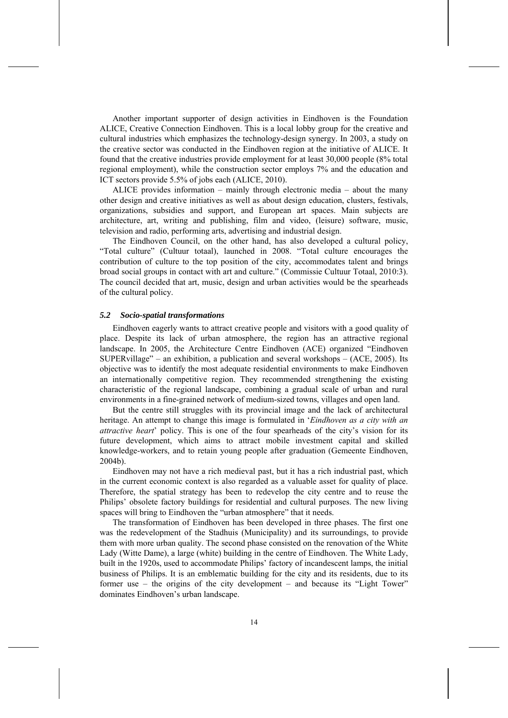Another important supporter of design activities in Eindhoven is the Foundation ALICE, Creative Connection Eindhoven. This is a local lobby group for the creative and cultural industries which emphasizes the technology-design synergy. In 2003, a study on the creative sector was conducted in the Eindhoven region at the initiative of ALICE. It found that the creative industries provide employment for at least 30,000 people (8% total regional employment), while the construction sector employs 7% and the education and ICT sectors provide 5.5% of jobs each (ALICE, 2010).

ALICE provides information – mainly through electronic media – about the many other design and creative initiatives as well as about design education, clusters, festivals, organizations, subsidies and support, and European art spaces. Main subjects are architecture, art, writing and publishing, film and video, (leisure) software, music, television and radio, performing arts, advertising and industrial design.

The Eindhoven Council, on the other hand, has also developed a cultural policy, "Total culture" (Cultuur totaal), launched in 2008. "Total culture encourages the contribution of culture to the top position of the city, accommodates talent and brings broad social groups in contact with art and culture." (Commissie Cultuur Totaal, 2010:3). The council decided that art, music, design and urban activities would be the spearheads of the cultural policy.

## *5.2 Socio-spatial transformations*

Eindhoven eagerly wants to attract creative people and visitors with a good quality of place. Despite its lack of urban atmosphere, the region has an attractive regional landscape. In 2005, the Architecture Centre Eindhoven (ACE) organized "Eindhoven SUPERvillage" – an exhibition, a publication and several workshops – (ACE, 2005). Its objective was to identify the most adequate residential environments to make Eindhoven an internationally competitive region. They recommended strengthening the existing characteristic of the regional landscape, combining a gradual scale of urban and rural environments in a fine-grained network of medium-sized towns, villages and open land.

But the centre still struggles with its provincial image and the lack of architectural heritage. An attempt to change this image is formulated in '*Eindhoven as a city with an attractive heart*' policy. This is one of the four spearheads of the city's vision for its future development, which aims to attract mobile investment capital and skilled knowledge-workers, and to retain young people after graduation (Gemeente Eindhoven, 2004b).

Eindhoven may not have a rich medieval past, but it has a rich industrial past, which in the current economic context is also regarded as a valuable asset for quality of place. Therefore, the spatial strategy has been to redevelop the city centre and to reuse the Philips' obsolete factory buildings for residential and cultural purposes. The new living spaces will bring to Eindhoven the "urban atmosphere" that it needs.

The transformation of Eindhoven has been developed in three phases. The first one was the redevelopment of the Stadhuis (Municipality) and its surroundings, to provide them with more urban quality. The second phase consisted on the renovation of the White Lady (Witte Dame), a large (white) building in the centre of Eindhoven. The White Lady, built in the 1920s, used to accommodate Philips' factory of incandescent lamps, the initial business of Philips. It is an emblematic building for the city and its residents, due to its former use – the origins of the city development – and because its "Light Tower" dominates Eindhoven's urban landscape.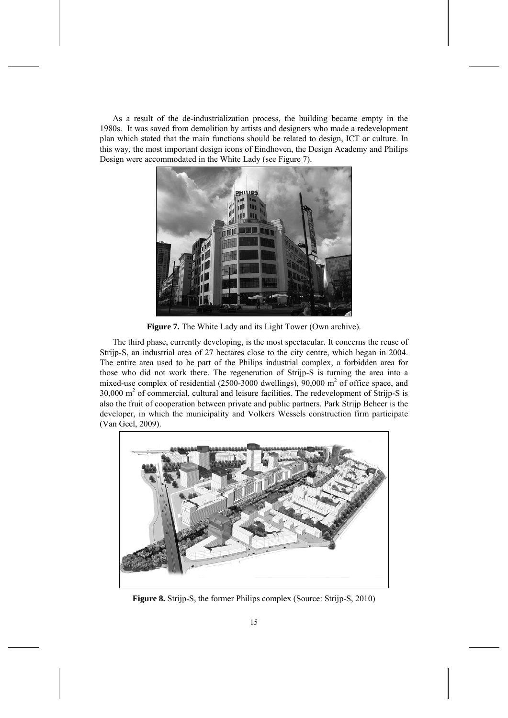As a result of the de-industrialization process, the building became empty in the 1980s. It was saved from demolition by artists and designers who made a redevelopment plan which stated that the main functions should be related to design, ICT or culture. In this way, the most important design icons of Eindhoven, the Design Academy and Philips Design were accommodated in the White Lady (see Figure 7).



**Figure 7.** The White Lady and its Light Tower (Own archive).

The third phase, currently developing, is the most spectacular. It concerns the reuse of Strijp-S, an industrial area of 27 hectares close to the city centre, which began in 2004. The entire area used to be part of the Philips industrial complex, a forbidden area for those who did not work there. The regeneration of Strijp-S is turning the area into a mixed-use complex of residential  $(2500-3000 \text{ dwellings})$ , 90,000 m<sup>2</sup> of office space, and 30,000 m<sup>2</sup> of commercial, cultural and leisure facilities. The redevelopment of Strijp-S is also the fruit of cooperation between private and public partners. Park Strijp Beheer is the developer, in which the municipality and Volkers Wessels construction firm participate (Van Geel, 2009).



**Figure 8.** Strijp-S, the former Philips complex (Source: Strijp-S, 2010)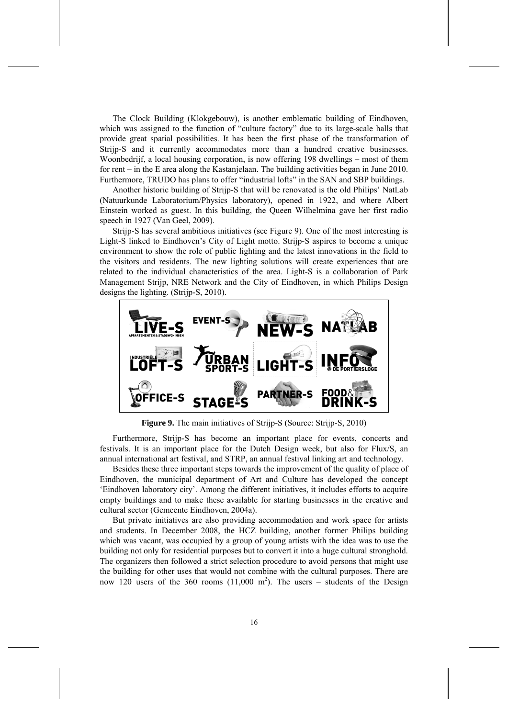The Clock Building (Klokgebouw), is another emblematic building of Eindhoven, which was assigned to the function of "culture factory" due to its large-scale halls that provide great spatial possibilities. It has been the first phase of the transformation of Strijp-S and it currently accommodates more than a hundred creative businesses. Woonbedrijf, a local housing corporation, is now offering 198 dwellings – most of them for rent – in the E area along the Kastanjelaan. The building activities began in June 2010. Furthermore, TRUDO has plans to offer "industrial lofts" in the SAN and SBP buildings.

Another historic building of Strijp-S that will be renovated is the old Philips' NatLab (Natuurkunde Laboratorium/Physics laboratory), opened in 1922, and where Albert Einstein worked as guest. In this building, the Queen Wilhelmina gave her first radio speech in 1927 (Van Geel, 2009).

Strijp-S has several ambitious initiatives (see Figure 9). One of the most interesting is Light-S linked to Eindhoven's City of Light motto. Strijp-S aspires to become a unique environment to show the role of public lighting and the latest innovations in the field to the visitors and residents. The new lighting solutions will create experiences that are related to the individual characteristics of the area. Light-S is a collaboration of Park Management Strijp, NRE Network and the City of Eindhoven, in which Philips Design designs the lighting. (Strijp-S, 2010).



**Figure 9.** The main initiatives of Strijp-S (Source: Strijp-S, 2010)

Furthermore, Strijp-S has become an important place for events, concerts and festivals. It is an important place for the Dutch Design week, but also for Flux/S, an annual international art festival, and STRP, an annual festival linking art and technology.

Besides these three important steps towards the improvement of the quality of place of Eindhoven, the municipal department of Art and Culture has developed the concept 'Eindhoven laboratory city'. Among the different initiatives, it includes efforts to acquire empty buildings and to make these available for starting businesses in the creative and cultural sector (Gemeente Eindhoven, 2004a).

But private initiatives are also providing accommodation and work space for artists and students. In December 2008, the HCZ building, another former Philips building which was vacant, was occupied by a group of young artists with the idea was to use the building not only for residential purposes but to convert it into a huge cultural stronghold. The organizers then followed a strict selection procedure to avoid persons that might use the building for other uses that would not combine with the cultural purposes. There are now 120 users of the 360 rooms  $(11,000 \text{ m}^2)$ . The users – students of the Design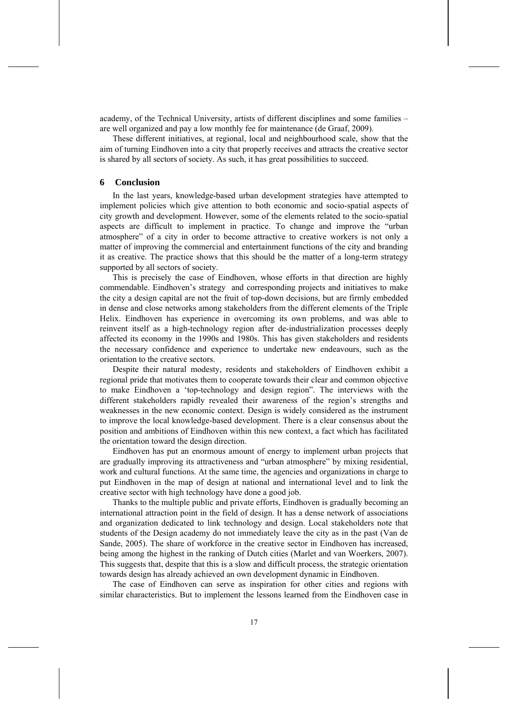academy, of the Technical University, artists of different disciplines and some families – are well organized and pay a low monthly fee for maintenance (de Graaf, 2009).

These different initiatives, at regional, local and neighbourhood scale, show that the aim of turning Eindhoven into a city that properly receives and attracts the creative sector is shared by all sectors of society. As such, it has great possibilities to succeed.

## **6 Conclusion**

In the last years, knowledge-based urban development strategies have attempted to implement policies which give attention to both economic and socio-spatial aspects of city growth and development. However, some of the elements related to the socio-spatial aspects are difficult to implement in practice. To change and improve the "urban atmosphere" of a city in order to become attractive to creative workers is not only a matter of improving the commercial and entertainment functions of the city and branding it as creative. The practice shows that this should be the matter of a long-term strategy supported by all sectors of society.

This is precisely the case of Eindhoven, whose efforts in that direction are highly commendable. Eindhoven's strategy and corresponding projects and initiatives to make the city a design capital are not the fruit of top-down decisions, but are firmly embedded in dense and close networks among stakeholders from the different elements of the Triple Helix. Eindhoven has experience in overcoming its own problems, and was able to reinvent itself as a high-technology region after de-industrialization processes deeply affected its economy in the 1990s and 1980s. This has given stakeholders and residents the necessary confidence and experience to undertake new endeavours, such as the orientation to the creative sectors.

Despite their natural modesty, residents and stakeholders of Eindhoven exhibit a regional pride that motivates them to cooperate towards their clear and common objective to make Eindhoven a 'top-technology and design region". The interviews with the different stakeholders rapidly revealed their awareness of the region's strengths and weaknesses in the new economic context. Design is widely considered as the instrument to improve the local knowledge-based development. There is a clear consensus about the position and ambitions of Eindhoven within this new context, a fact which has facilitated the orientation toward the design direction.

Eindhoven has put an enormous amount of energy to implement urban projects that are gradually improving its attractiveness and "urban atmosphere" by mixing residential, work and cultural functions. At the same time, the agencies and organizations in charge to put Eindhoven in the map of design at national and international level and to link the creative sector with high technology have done a good job.

Thanks to the multiple public and private efforts, Eindhoven is gradually becoming an international attraction point in the field of design. It has a dense network of associations and organization dedicated to link technology and design. Local stakeholders note that students of the Design academy do not immediately leave the city as in the past (Van de Sande, 2005). The share of workforce in the creative sector in Eindhoven has increased, being among the highest in the ranking of Dutch cities (Marlet and van Woerkers, 2007). This suggests that, despite that this is a slow and difficult process, the strategic orientation towards design has already achieved an own development dynamic in Eindhoven.

The case of Eindhoven can serve as inspiration for other cities and regions with similar characteristics. But to implement the lessons learned from the Eindhoven case in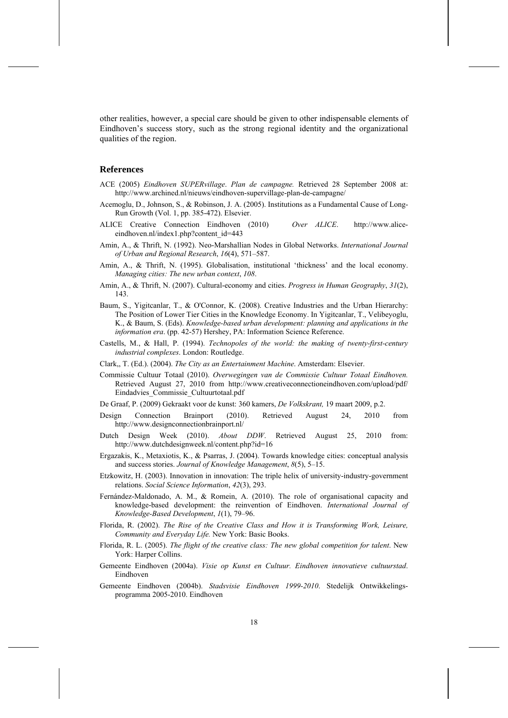other realities, however, a special care should be given to other indispensable elements of Eindhoven's success story, such as the strong regional identity and the organizational qualities of the region.

## **References**

- ACE (2005) *Eindhoven SUPERvillage*. *Plan de campagne.* Retrieved 28 September 2008 at: http://www.archined.nl/nieuws/eindhoven-supervillage-plan-de-campagne/
- Acemoglu, D., Johnson, S., & Robinson, J. A. (2005). Institutions as a Fundamental Cause of Long-Run Growth (Vol. 1, pp. 385-472). Elsevier.
- ALICE Creative Connection Eindhoven (2010) *Over ALICE*. http://www.aliceeindhoven.nl/index1.php?content\_id=443
- Amin, A., & Thrift, N. (1992). Neo-Marshallian Nodes in Global Networks. *International Journal of Urban and Regional Research*, *16*(4), 571–587.
- Amin, A., & Thrift, N. (1995). Globalisation, institutional 'thickness' and the local economy. *Managing cities: The new urban context*, *108*.
- Amin, A., & Thrift, N. (2007). Cultural-economy and cities. *Progress in Human Geography*, *31*(2), 143.
- Baum, S., Yigitcanlar, T., & O'Connor, K. (2008). Creative Industries and the Urban Hierarchy: The Position of Lower Tier Cities in the Knowledge Economy. In Yigitcanlar, T., Velibeyoglu, K., & Baum, S. (Eds). *Knowledge-based urban development: planning and applications in the information era*. (pp. 42-57) Hershey, PA: Information Science Reference.
- Castells, M., & Hall, P. (1994). *Technopoles of the world: the making of twenty-first-century industrial complexes*. London: Routledge.
- Clark,, T. (Ed.). (2004). *The City as an Entertainment Machine*. Amsterdam: Elsevier.
- Commissie Cultuur Totaal (2010). *Overwegingen van de Commissie Cultuur Totaal Eindhoven.*  Retrieved August 27, 2010 from http://www.creativeconnectioneindhoven.com/upload/pdf/ Eindadvies\_Commissie\_Cultuurtotaal.pdf
- De Graaf, P. (2009) Gekraakt voor de kunst: 360 kamers, *De Volkskrant,* 19 maart 2009, p.2.
- Design Connection Brainport (2010). Retrieved August 24, 2010 from http://www.designconnectionbrainport.nl/
- Dutch Design Week (2010). *About DDW*. Retrieved August 25, 2010 from: http://www.dutchdesignweek.nl/content.php?id=16
- Ergazakis, K., Metaxiotis, K., & Psarras, J. (2004). Towards knowledge cities: conceptual analysis and success stories. *Journal of Knowledge Management*, *8*(5), 5–15.
- Etzkowitz, H. (2003). Innovation in innovation: The triple helix of university-industry-government relations. *Social Science Information*, *42*(3), 293.
- Fernández-Maldonado, A. M., & Romein, A. (2010). The role of organisational capacity and knowledge-based development: the reinvention of Eindhoven. *International Journal of Knowledge-Based Development*, *1*(1), 79–96.
- Florida, R. (2002). *The Rise of the Creative Class and How it is Transforming Work, Leisure, Community and Everyday Life.* New York: Basic Books.
- Florida, R. L. (2005). *The flight of the creative class: The new global competition for talent*. New York: Harper Collins.
- Gemeente Eindhoven (2004a). *Visie op Kunst en Cultuur. Eindhoven innovatieve cultuurstad*. Eindhoven
- Gemeente Eindhoven (2004b). *Stadsvisie Eindhoven 1999-2010*. Stedelijk Ontwikkelingsprogramma 2005-2010. Eindhoven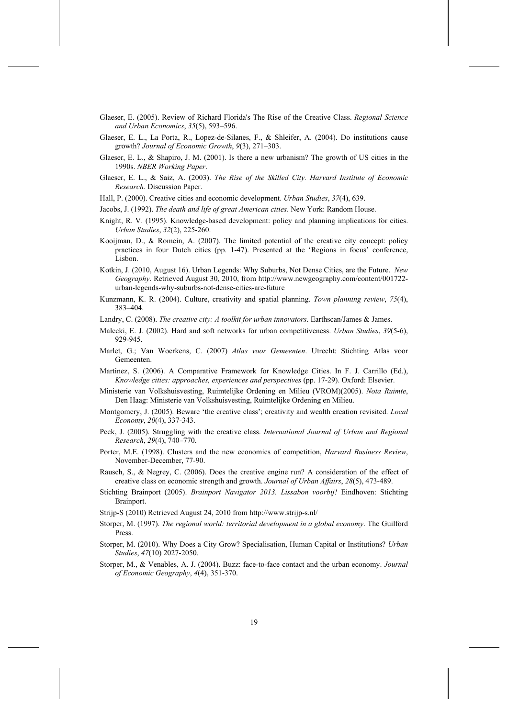- Glaeser, E. (2005). Review of Richard Florida's The Rise of the Creative Class. *Regional Science and Urban Economics*, *35*(5), 593–596.
- Glaeser, E. L., La Porta, R., Lopez-de-Silanes, F., & Shleifer, A. (2004). Do institutions cause growth? *Journal of Economic Growth*, *9*(3), 271–303.
- Glaeser, E. L., & Shapiro, J. M. (2001). Is there a new urbanism? The growth of US cities in the 1990s. *NBER Working Paper*.
- Glaeser, E. L., & Saiz, A. (2003). *The Rise of the Skilled City. Harvard Institute of Economic Research*. Discussion Paper.
- Hall, P. (2000). Creative cities and economic development. *Urban Studies*, *37*(4), 639.
- Jacobs, J. (1992). *The death and life of great American cities*. New York: Random House.
- Knight, R. V. (1995). Knowledge-based development: policy and planning implications for cities. *Urban Studies*, *32*(2), 225-260.
- Kooijman, D., & Romein, A. (2007). The limited potential of the creative city concept: policy practices in four Dutch cities (pp. 1-47). Presented at the 'Regions in focus' conference, Lisbon.
- Kotkin, J. (2010, August 16). Urban Legends: Why Suburbs, Not Dense Cities, are the Future. *New Geography*. Retrieved August 30, 2010, from http://www.newgeography.com/content/001722 urban-legends-why-suburbs-not-dense-cities-are-future
- Kunzmann, K. R. (2004). Culture, creativity and spatial planning. *Town planning review*, *75*(4), 383–404.
- Landry, C. (2008). *The creative city: A toolkit for urban innovators*. Earthscan/James & James.
- Malecki, E. J. (2002). Hard and soft networks for urban competitiveness. *Urban Studies*, *39*(5-6), 929-945.
- Marlet, G.; Van Woerkens, C. (2007) *Atlas voor Gemeenten*. Utrecht: Stichting Atlas voor Gemeenten.
- Martinez, S. (2006). A Comparative Framework for Knowledge Cities. In F. J. Carrillo (Ed.), *Knowledge cities: approaches, experiences and perspectives* (pp. 17-29). Oxford: Elsevier.
- Ministerie van Volkshuisvesting, Ruimtelijke Ordening en Milieu (VROM)(2005). *Nota Ruimte*, Den Haag: Ministerie van Volkshuisvesting, Ruimtelijke Ordening en Milieu.
- Montgomery, J. (2005). Beware 'the creative class'; creativity and wealth creation revisited. *Local Economy*, *20*(4), 337-343.
- Peck, J. (2005). Struggling with the creative class. *International Journal of Urban and Regional Research*, *29*(4), 740–770.
- Porter, M.E. (1998). Clusters and the new economics of competition, *Harvard Business Review*, November-December, 77-90.
- Rausch, S., & Negrey, C. (2006). Does the creative engine run? A consideration of the effect of creative class on economic strength and growth. *Journal of Urban Affairs*, *28*(5), 473-489.
- Stichting Brainport (2005). *Brainport Navigator 2013. Lissabon voorbij!* Eindhoven: Stichting Brainport.
- Strijp-S (2010) Retrieved August 24, 2010 from http://www.strijp-s.nl/
- Storper, M. (1997). *The regional world: territorial development in a global economy*. The Guilford Press.
- Storper, M. (2010). Why Does a City Grow? Specialisation, Human Capital or Institutions? *Urban Studies*, *47*(10) 2027-2050.
- Storper, M., & Venables, A. J. (2004). Buzz: face-to-face contact and the urban economy. *Journal of Economic Geography*, *4*(4), 351-370.